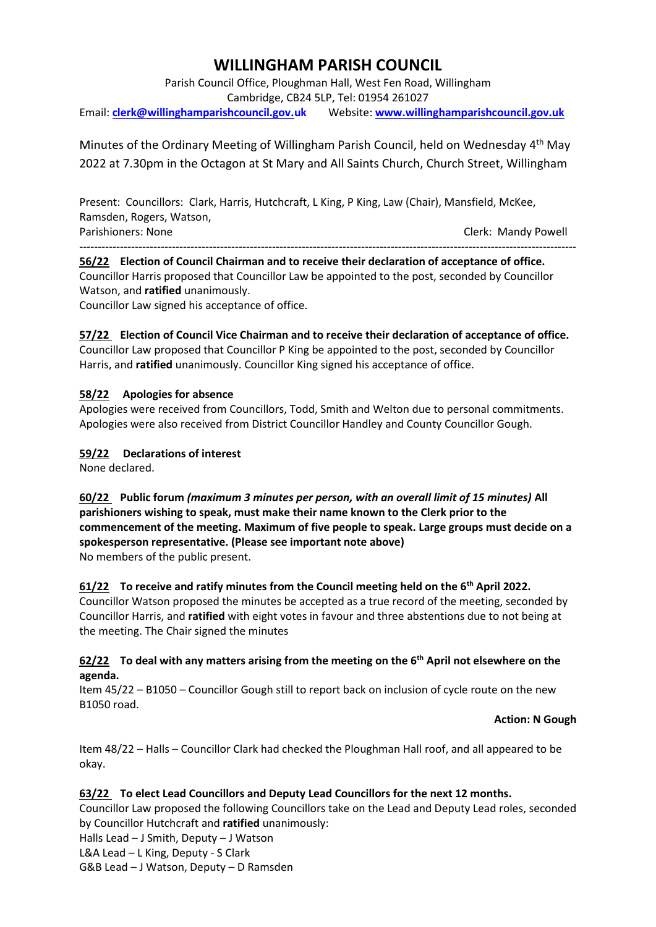# **WILLINGHAM PARISH COUNCIL**

Parish Council Office, Ploughman Hall, West Fen Road, Willingham Cambridge, CB24 5LP, Tel: 01954 261027 Email: **[clerk@willinghamparishcouncil.gov.uk](mailto:clerk@willinghamparishcouncil.gov.uk)** Website: **[www.willinghamparishcouncil.gov.uk](http://www.willinghamparishcouncil.gov.uk/)**

Minutes of the Ordinary Meeting of Willingham Parish Council, held on Wednesday 4<sup>th</sup> May 2022 at 7.30pm in the Octagon at St Mary and All Saints Church, Church Street, Willingham

Present: Councillors: Clark, Harris, Hutchcraft, L King, P King, Law (Chair), Mansfield, McKee, Ramsden, Rogers, Watson, Parishioners: None Clerk: Mandy Powell

-------------------------------------------------------------------------------------------------------------------------------------- **56/22 Election of Council Chairman and to receive their declaration of acceptance of office.** Councillor Harris proposed that Councillor Law be appointed to the post, seconded by Councillor Watson, and **ratified** unanimously.

Councillor Law signed his acceptance of office.

# **57/22 Election of Council Vice Chairman and to receive their declaration of acceptance of office.**

Councillor Law proposed that Councillor P King be appointed to the post, seconded by Councillor Harris, and **ratified** unanimously. Councillor King signed his acceptance of office.

# **58/22 Apologies for absence**

Apologies were received from Councillors, Todd, Smith and Welton due to personal commitments. Apologies were also received from District Councillor Handley and County Councillor Gough.

# **59/22 Declarations of interest**

None declared.

# **60/22 Public forum** *(maximum 3 minutes per person, with an overall limit of 15 minutes)* **All parishioners wishing to speak, must make their name known to the Clerk prior to the commencement of the meeting. Maximum of five people to speak. Large groups must decide on a spokesperson representative. (Please see important note above)** No members of the public present.

# **61/22 To receive and ratify minutes from the Council meeting held on the 6th April 2022.**

Councillor Watson proposed the minutes be accepted as a true record of the meeting, seconded by Councillor Harris, and **ratified** with eight votes in favour and three abstentions due to not being at the meeting. The Chair signed the minutes

# **62/22 To deal with any matters arising from the meeting on the 6th April not elsewhere on the agenda.**

Item 45/22 – B1050 – Councillor Gough still to report back on inclusion of cycle route on the new B1050 road.

#### **Action: N Gough**

Item 48/22 – Halls – Councillor Clark had checked the Ploughman Hall roof, and all appeared to be okay.

# **63/22 To elect Lead Councillors and Deputy Lead Councillors for the next 12 months.**

Councillor Law proposed the following Councillors take on the Lead and Deputy Lead roles, seconded by Councillor Hutchcraft and **ratified** unanimously:

Halls Lead – J Smith, Deputy – J Watson

L&A Lead – L King, Deputy - S Clark

G&B Lead – J Watson, Deputy – D Ramsden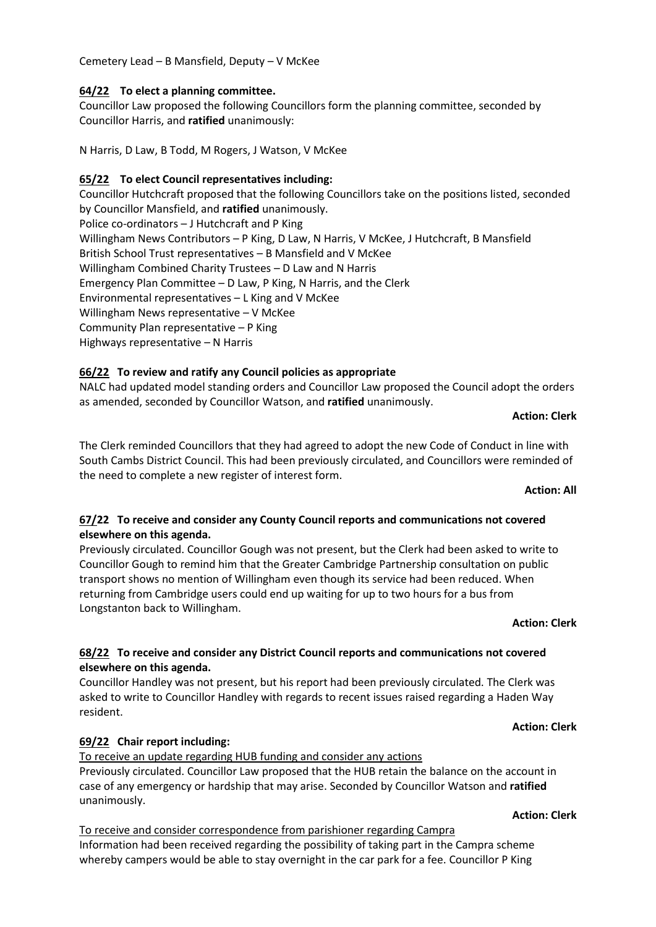Cemetery Lead – B Mansfield, Deputy – V McKee

## **64/22 To elect a planning committee.**

Councillor Law proposed the following Councillors form the planning committee, seconded by Councillor Harris, and **ratified** unanimously:

N Harris, D Law, B Todd, M Rogers, J Watson, V McKee

# **65/22 To elect Council representatives including:**

Councillor Hutchcraft proposed that the following Councillors take on the positions listed, seconded by Councillor Mansfield, and **ratified** unanimously. Police co-ordinators – J Hutchcraft and P King Willingham News Contributors – P King, D Law, N Harris, V McKee, J Hutchcraft, B Mansfield British School Trust representatives – B Mansfield and V McKee Willingham Combined Charity Trustees – D Law and N Harris Emergency Plan Committee – D Law, P King, N Harris, and the Clerk Environmental representatives – L King and V McKee Willingham News representative – V McKee Community Plan representative – P King Highways representative – N Harris

# **66/22 To review and ratify any Council policies as appropriate**

NALC had updated model standing orders and Councillor Law proposed the Council adopt the orders as amended, seconded by Councillor Watson, and **ratified** unanimously.

#### **Action: Clerk**

The Clerk reminded Councillors that they had agreed to adopt the new Code of Conduct in line with South Cambs District Council. This had been previously circulated, and Councillors were reminded of the need to complete a new register of interest form.

#### **Action: All**

# **67/22 To receive and consider any County Council reports and communications not covered elsewhere on this agenda.**

Previously circulated. Councillor Gough was not present, but the Clerk had been asked to write to Councillor Gough to remind him that the Greater Cambridge Partnership consultation on public transport shows no mention of Willingham even though its service had been reduced. When returning from Cambridge users could end up waiting for up to two hours for a bus from Longstanton back to Willingham.

#### **Action: Clerk**

# **68/22 To receive and consider any District Council reports and communications not covered elsewhere on this agenda.**

Councillor Handley was not present, but his report had been previously circulated. The Clerk was asked to write to Councillor Handley with regards to recent issues raised regarding a Haden Way resident.

#### **Action: Clerk**

#### **69/22 Chair report including:**

To receive an update regarding HUB funding and consider any actions Previously circulated. Councillor Law proposed that the HUB retain the balance on the account in case of any emergency or hardship that may arise. Seconded by Councillor Watson and **ratified** unanimously.

### To receive and consider correspondence from parishioner regarding Campra Information had been received regarding the possibility of taking part in the Campra scheme whereby campers would be able to stay overnight in the car park for a fee. Councillor P King

#### **Action: Clerk**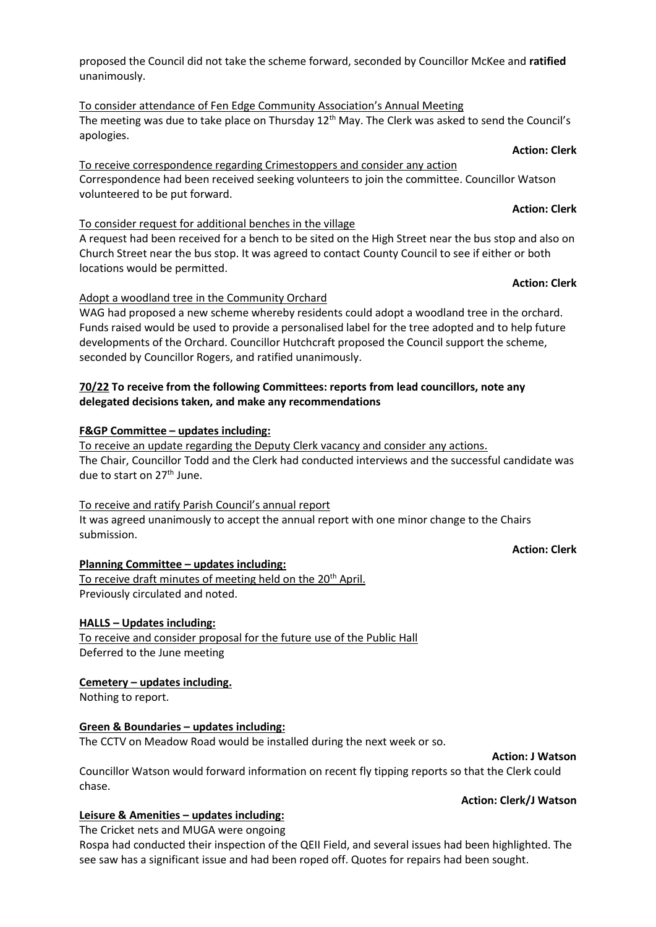# proposed the Council did not take the scheme forward, seconded by Councillor McKee and **ratified** unanimously.

To consider attendance of Fen Edge Community Association's Annual Meeting The meeting was due to take place on Thursday  $12<sup>th</sup>$  May. The Clerk was asked to send the Council's apologies.

## **Action: Clerk** To receive correspondence regarding Crimestoppers and consider any action Correspondence had been received seeking volunteers to join the committee. Councillor Watson volunteered to be put forward.

# To consider request for additional benches in the village

A request had been received for a bench to be sited on the High Street near the bus stop and also on Church Street near the bus stop. It was agreed to contact County Council to see if either or both locations would be permitted.

# Adopt a woodland tree in the Community Orchard

WAG had proposed a new scheme whereby residents could adopt a woodland tree in the orchard. Funds raised would be used to provide a personalised label for the tree adopted and to help future developments of the Orchard. Councillor Hutchcraft proposed the Council support the scheme, seconded by Councillor Rogers, and ratified unanimously.

# **70/22 To receive from the following Committees: reports from lead councillors, note any delegated decisions taken, and make any recommendations**

# **F&GP Committee – updates including:**

To receive an update regarding the Deputy Clerk vacancy and consider any actions. The Chair, Councillor Todd and the Clerk had conducted interviews and the successful candidate was due to start on 27<sup>th</sup> June.

# To receive and ratify Parish Council's annual report

It was agreed unanimously to accept the annual report with one minor change to the Chairs submission.

# **Action: Clerk**

**Planning Committee – updates including:**

To receive draft minutes of meeting held on the 20<sup>th</sup> April. Previously circulated and noted.

# **HALLS – Updates including:**

To receive and consider proposal for the future use of the Public Hall Deferred to the June meeting

# **Cemetery – updates including.**

Nothing to report.

# **Green & Boundaries – updates including:**

The CCTV on Meadow Road would be installed during the next week or so.

**Action: J Watson**

Councillor Watson would forward information on recent fly tipping reports so that the Clerk could chase.

# **Action: Clerk/J Watson**

# **Leisure & Amenities – updates including:**

The Cricket nets and MUGA were ongoing

Rospa had conducted their inspection of the QEII Field, and several issues had been highlighted. The see saw has a significant issue and had been roped off. Quotes for repairs had been sought.

# **Action: Clerk**

**Action: Clerk**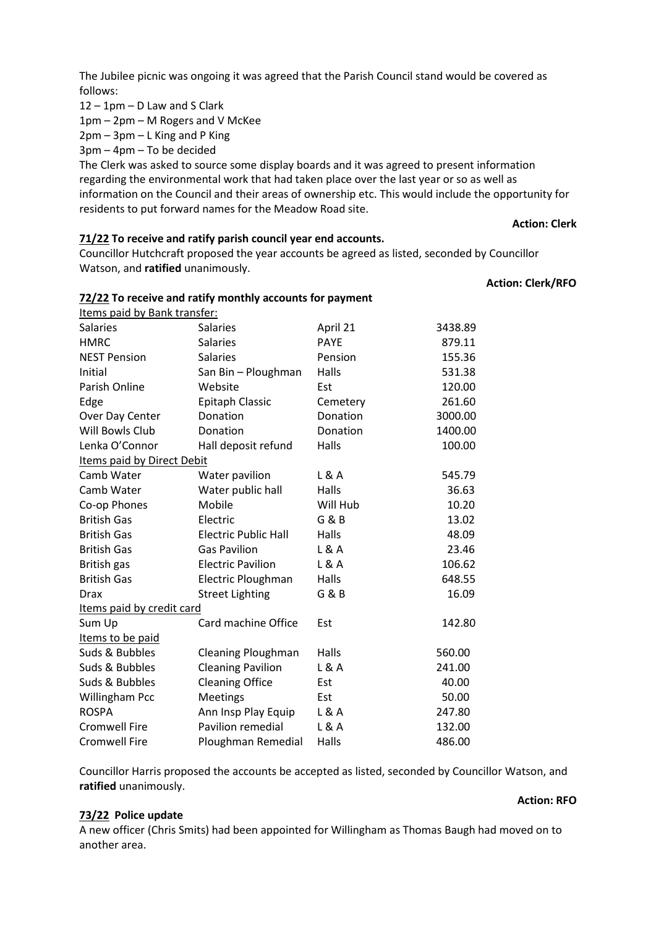The Jubilee picnic was ongoing it was agreed that the Parish Council stand would be covered as follows:

12 – 1pm – D Law and S Clark

1pm – 2pm – M Rogers and V McKee

2pm – 3pm – L King and P King

3pm – 4pm – To be decided

The Clerk was asked to source some display boards and it was agreed to present information regarding the environmental work that had taken place over the last year or so as well as information on the Council and their areas of ownership etc. This would include the opportunity for residents to put forward names for the Meadow Road site.

#### **Action: Clerk**

#### **71/22 To receive and ratify parish council year end accounts.**

**72/22 To receive and ratify monthly accounts for payment**

Councillor Hutchcraft proposed the year accounts be agreed as listed, seconded by Councillor Watson, and **ratified** unanimously.

## **Action: Clerk/RFO**

| Items paid by Bank transfer: |                 |                |         |
|------------------------------|-----------------|----------------|---------|
| <b>Salaries</b>              | <b>Salaries</b> | April 21       | 3438.89 |
| HMRC.                        | <b>Salaries</b> | <b>PAYE</b>    | 879.11  |
| <b>NEST Pension</b>          | Salaries        | <b>Pensinn</b> | 155.36  |

| HIVIKU                     | Salaries                    | PAYE     | 879.11  |
|----------------------------|-----------------------------|----------|---------|
| <b>NEST Pension</b>        | <b>Salaries</b>             | Pension  | 155.36  |
| Initial                    | San Bin - Ploughman         | Halls    | 531.38  |
| Parish Online              | Website                     | Est      | 120.00  |
| Edge                       | <b>Epitaph Classic</b>      | Cemetery | 261.60  |
| Over Day Center            | Donation                    | Donation | 3000.00 |
| Will Bowls Club            | Donation                    | Donation | 1400.00 |
| Lenka O'Connor             | Hall deposit refund         | Halls    | 100.00  |
| Items paid by Direct Debit |                             |          |         |
| Camb Water                 | Water pavilion              | L & A    | 545.79  |
| Camb Water                 | Water public hall           | Halls    | 36.63   |
| Co-op Phones               | Mobile                      | Will Hub | 10.20   |
| <b>British Gas</b>         | Electric                    | G & B    | 13.02   |
| <b>British Gas</b>         | <b>Electric Public Hall</b> | Halls    | 48.09   |
| <b>British Gas</b>         | <b>Gas Pavilion</b>         | L & A    | 23.46   |
| British gas                | <b>Electric Pavilion</b>    | L & A    | 106.62  |
| <b>British Gas</b>         | Electric Ploughman          | Halls    | 648.55  |
| <b>Drax</b>                | <b>Street Lighting</b>      | G & B    | 16.09   |
| Items paid by credit card  |                             |          |         |
| Sum Up                     | Card machine Office         | Est      | 142.80  |
| Items to be paid           |                             |          |         |
| Suds & Bubbles             | <b>Cleaning Ploughman</b>   | Halls    | 560.00  |
| Suds & Bubbles             | <b>Cleaning Pavilion</b>    | L & A    | 241.00  |
| Suds & Bubbles             | <b>Cleaning Office</b>      | Est      | 40.00   |
| Willingham Pcc             | Meetings                    | Est      | 50.00   |
| <b>ROSPA</b>               | Ann Insp Play Equip         | L & A    | 247.80  |
| <b>Cromwell Fire</b>       | Pavilion remedial           | L & A    | 132.00  |
| <b>Cromwell Fire</b>       | Ploughman Remedial          | Halls    | 486.00  |

Councillor Harris proposed the accounts be accepted as listed, seconded by Councillor Watson, and **ratified** unanimously.

#### **73/22 Police update**

A new officer (Chris Smits) had been appointed for Willingham as Thomas Baugh had moved on to another area.

#### **Action: RFO**